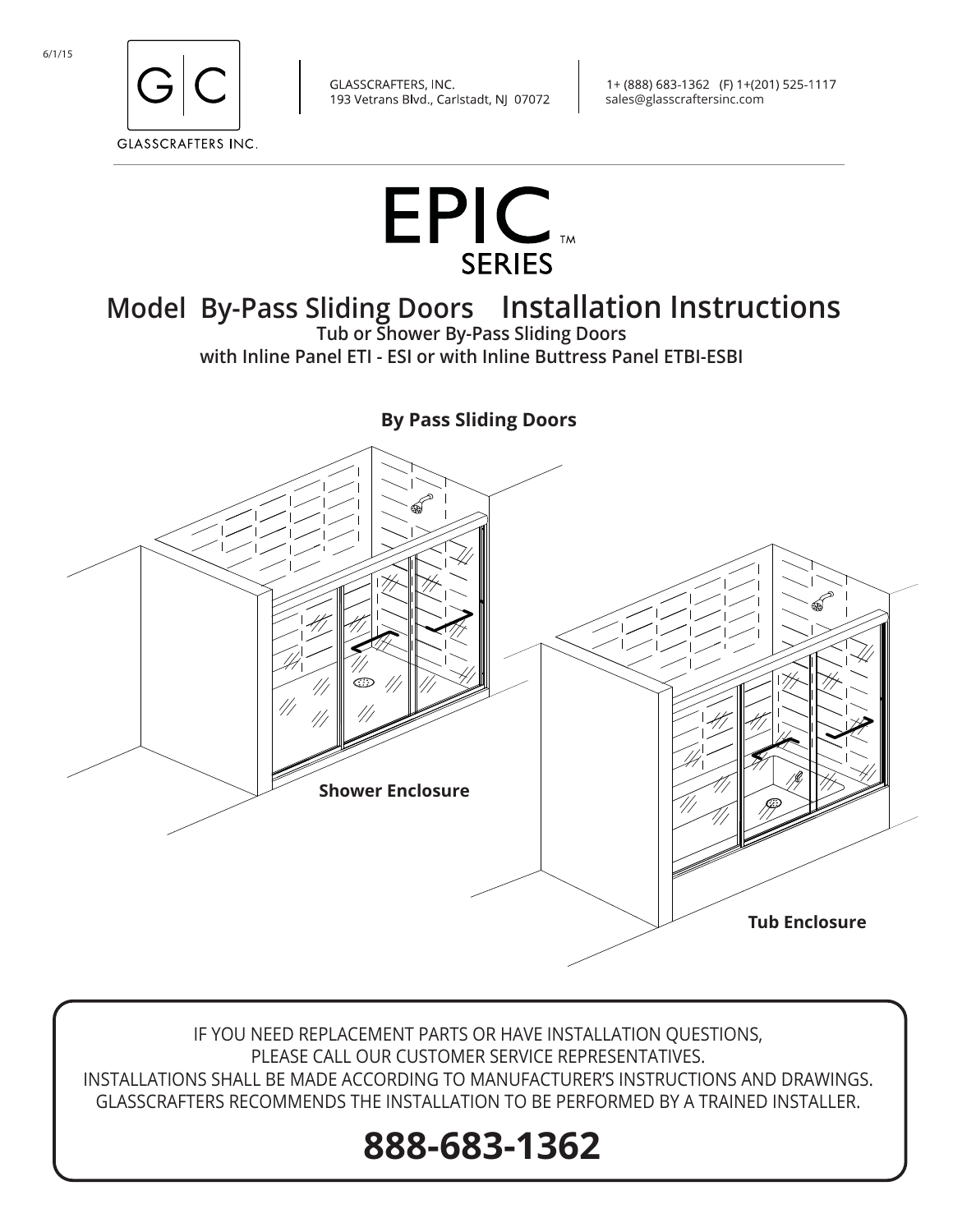



# **Model By-Pass Sliding Doors Installation Instructions**

**Tub or Shower By-Pass Sliding Doors with Inline Panel ETI - ESI or with Inline Buttress Panel ETBI-ESBI** 

**By Pass Sliding Doors** 



IF YOU NEED REPLACEMENT PARTS OR HAVE INSTALLATION QUESTIONS, PLEASE CALL OUR CUSTOMER SERVICE REPRESENTATIVES. INSTALLATIONS SHALL BE MADE ACCORDING TO MANUFACTURER'S INSTRUCTIONS AND DRAWINGS. GLASSCRAFTERS RECOMMENDS THE INSTALLATION TO BE PERFORMED BY A TRAINED INSTALLER.

# **888-683-1362**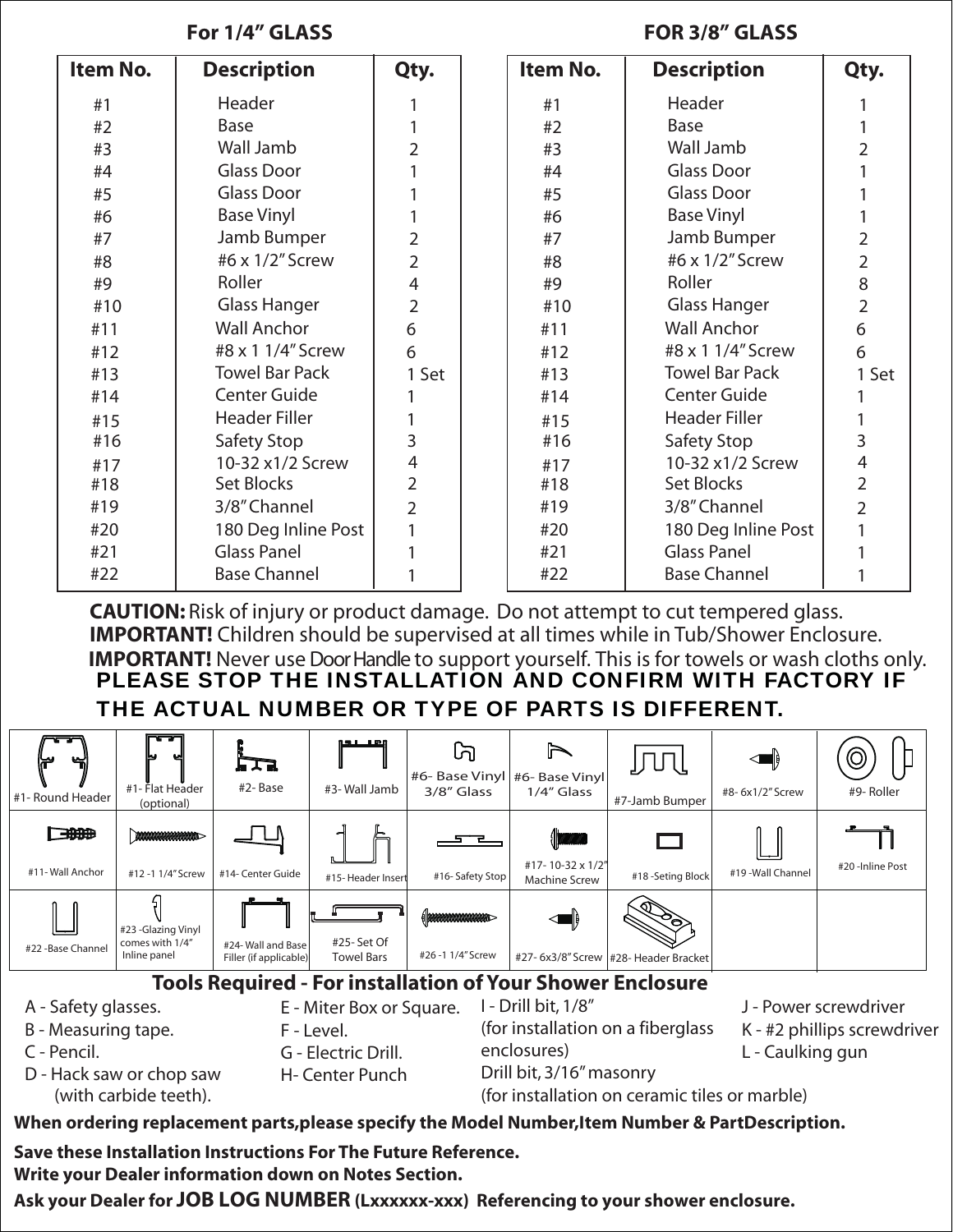### **For 1/4" GLASS FOR 3/8" GLASS**

| Item No. | <b>Description</b>    | Qty.           | Item No. | <b>Description</b>    | Qty.           |
|----------|-----------------------|----------------|----------|-----------------------|----------------|
| #1       | Header                |                | #1       | Header                |                |
| #2       | Base                  |                | #2       | Base                  |                |
| #3       | Wall Jamb             | $\overline{2}$ | #3       | Wall Jamb             | 2              |
| #4       | Glass Door            |                | #4       | <b>Glass Door</b>     |                |
| #5       | <b>Glass Door</b>     |                | #5       | <b>Glass Door</b>     |                |
| #6       | <b>Base Vinyl</b>     |                | #6       | <b>Base Vinyl</b>     |                |
| #7       | Jamb Bumper           | $\overline{2}$ | #7       | Jamb Bumper           | $\overline{2}$ |
| #8       | #6 x 1/2" Screw       | $\overline{2}$ | #8       | #6 x 1/2" Screw       | $\overline{2}$ |
| #9       | Roller                | $\overline{4}$ | #9       | Roller                | 8              |
| #10      | <b>Glass Hanger</b>   | $\overline{2}$ | #10      | <b>Glass Hanger</b>   | $\overline{2}$ |
| #11      | <b>Wall Anchor</b>    | 6              | #11      | <b>Wall Anchor</b>    | 6              |
| #12      | #8 x 1 1/4" Screw     | 6              | #12      | #8 x 1 1/4" Screw     | 6              |
| #13      | <b>Towel Bar Pack</b> | 1 Set          | #13      | <b>Towel Bar Pack</b> | 1 Set          |
| #14      | <b>Center Guide</b>   |                | #14      | Center Guide          |                |
| #15      | <b>Header Filler</b>  |                | #15      | <b>Header Filler</b>  |                |
| #16      | Safety Stop           | 3              | #16      | Safety Stop           | 3              |
| #17      | 10-32 x1/2 Screw      | 4              | #17      | 10-32 x1/2 Screw      | $\overline{4}$ |
| #18      | Set Blocks            | $\overline{2}$ | #18      | Set Blocks            | $\overline{2}$ |
| #19      | 3/8" Channel          | $\overline{2}$ | #19      | 3/8" Channel          | $\overline{2}$ |
| #20      | 180 Deg Inline Post   |                | #20      | 180 Deg Inline Post   |                |
| #21      | <b>Glass Panel</b>    |                | #21      | <b>Glass Panel</b>    |                |
| #22      | <b>Base Channel</b>   |                | #22      | <b>Base Channel</b>   |                |

**CAUTION:** Risk of injury or product damage. Do not attempt to cut tempered glass. **IMPORTANT!** Children should be supervised at all times while in Tub/Shower Enclosure. **IMPORTANT!** Never use Door Handle to support yourself. This is for towels or wash cloths only. PLEASE STOP THE INSTALLATION AND CONFIRM WITH FACTORY IF THE ACTUAL NUMBER OR TYPE OF PARTS IS DIFFERENT.



- K #2 phillips screwdriver
- L Caulking gun

D - Hack saw or chop saw (with carbide teeth).

C - Pencil.

F - Level. G - Electric Drill. H- Center Punch (for installation on a fiberglass enclosures) Drill bit, 3/16" masonry

(for installation on ceramic tiles or marble)

### **When ordering replacement parts,please specify the Model Number,Item Number & PartDescription.**

**Save these Installation Instructions For The Future Reference.** 

**Write your Dealer information down on Notes Section.** 

**Ask your Dealer for JOB LOG NUMBER (Lxxxxxx-xxx) Referencing to your shower enclosure.**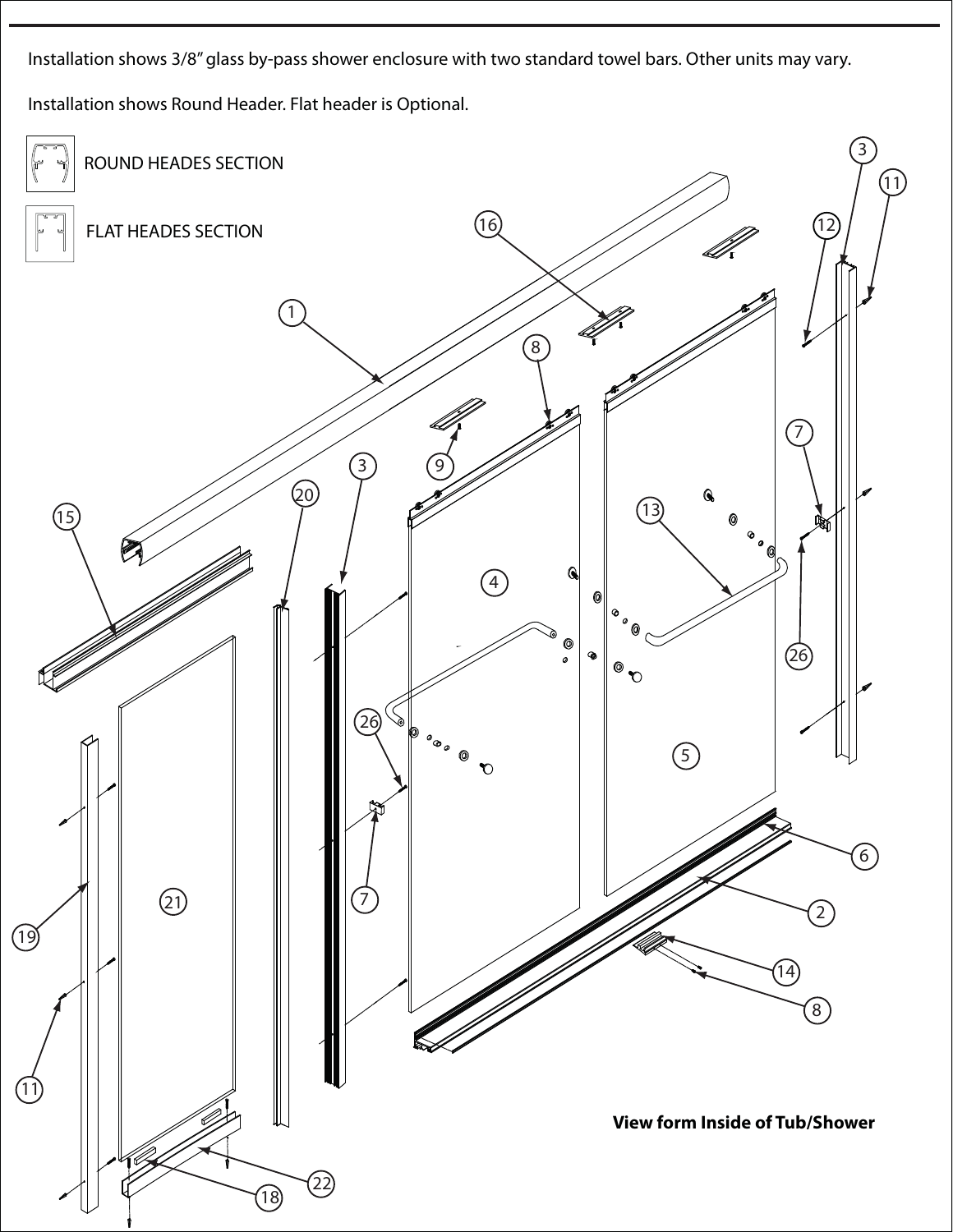Installation shows 3/8" glass by-pass shower enclosure with two standard towel bars. Other units may vary. Installation shows Round Header. Flat header is Optional.

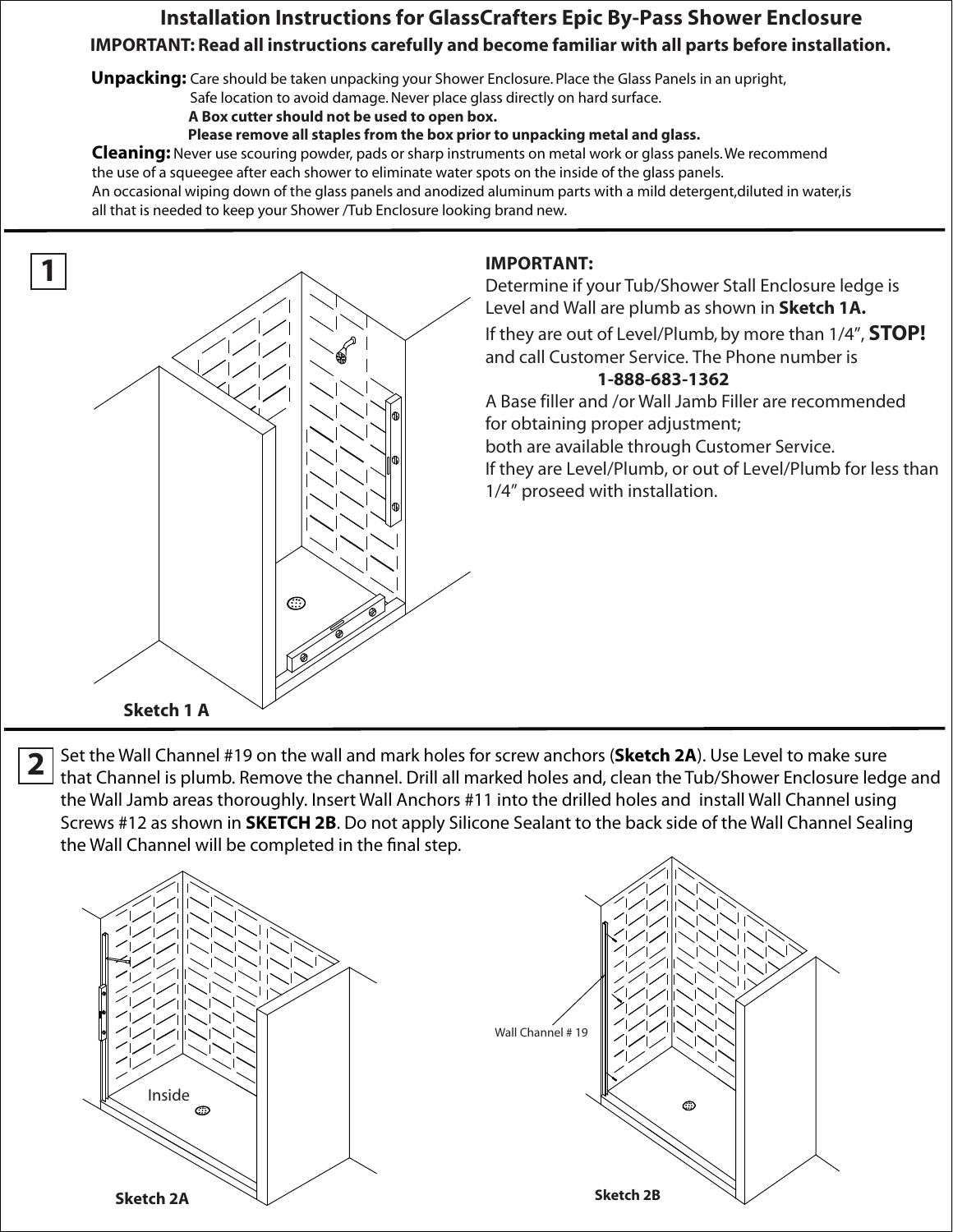## **Installation Instructions for GlassCrafters Epic By-Pass Shower Enclosure IMPORTANT: Read all instructions carefully and become familiar with all parts before installation.**

**Unpacking:** Care should be taken unpacking your Shower Enclosure. Place the Glass Panels in an upright,

Safe location to avoid damage. Never place glass directly on hard surface.

 **A Box cutter should not be used to open box.**

 **Please remove all staples from the box prior to unpacking metal and glass.**

**Cleaning:** Never use scouring powder, pads or sharp instruments on metal work or glass panels. We recommend the use of a squeegee after each shower to eliminate water spots on the inside of the glass panels. An occasional wiping down of the glass panels and anodized aluminum parts with a mild detergent,diluted in water,is all that is needed to keep your Shower /Tub Enclosure looking brand new.



#### **IMPORTANT:**

Determine if your Tub/Shower Stall Enclosure ledge is Level and Wall are plumb as shown in **Sketch 1A.** If they are out of Level/Plumb, by more than 1/4", **STOP!** and call Customer Service. The Phone number is **1-888-683-1362**

A Base filler and /or Wall Jamb Filler are recommended for obtaining proper adjustment;

both are available through Customer Service.

If they are Level/Plumb, or out of Level/Plumb for less than 1/4" proseed with installation.

**2** Set the Wall Channel #19 on the wall and mark holes for screw anchors (**Sketch 2A**). Use Level to make sure that Channel is plumb. Remove the channel. Drill all marked holes and, clean the Tub/Shower Enclosure ledge and the Wall Jamb areas thoroughly. Insert Wall Anchors #11 into the drilled holes and install Wall Channel using Screws #12 as shown in **SKETCH 2B**. Do not apply Silicone Sealant to the back side of the Wall Channel Sealing the Wall Channel will be completed in the final step.

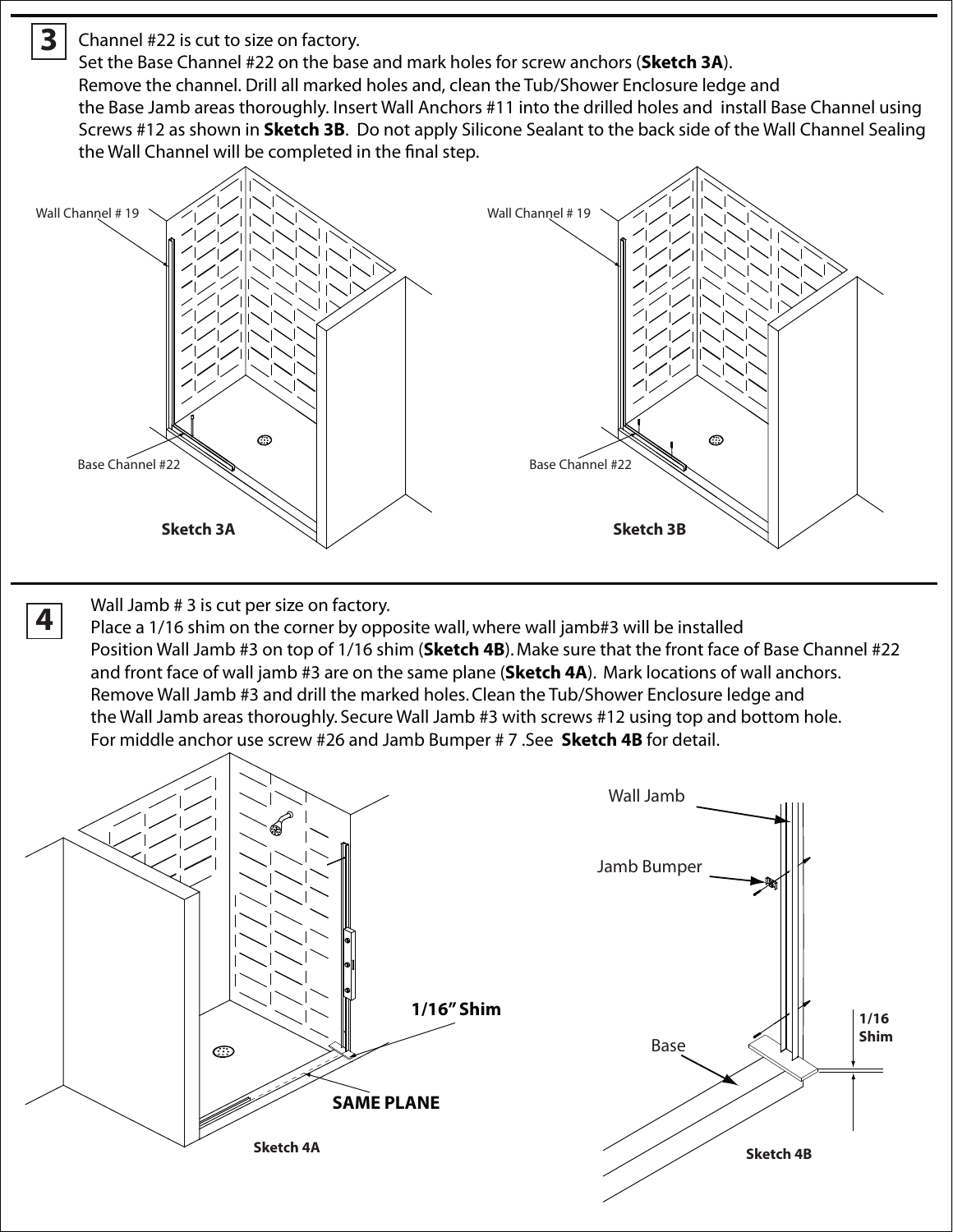**3** Channel #22 is cut to size on factory.

Set the Base Channel #22 on the base and mark holes for screw anchors (**Sketch 3A**). Remove the channel. Drill all marked holes and, clean the Tub/Shower Enclosure ledge and the Base Jamb areas thoroughly. Insert Wall Anchors #11 into the drilled holes and install Base Channel using Screws #12 as shown in **Sketch 3B**. Do not apply Silicone Sealant to the back side of the Wall Channel Sealing the Wall Channel will be completed in the final step.



Wall Jamb # 3 is cut per size on factory.

**4**

Place a 1/16 shim on the corner by opposite wall, where wall jamb#3 will be installed Position Wall Jamb #3 on top of 1/16 shim (**Sketch 4B**). Make sure that the front face of Base Channel #22 and front face of wall jamb #3 are on the same plane (**Sketch 4A**). Mark locations of wall anchors. Remove Wall Jamb #3 and drill the marked holes. Clean the Tub/Shower Enclosure ledge and the Wall Jamb areas thoroughly. Secure Wall Jamb #3 with screws #12 using top and bottom hole. For middle anchor use screw #26 and Jamb Bumper # 7 .See **Sketch 4B** for detail.

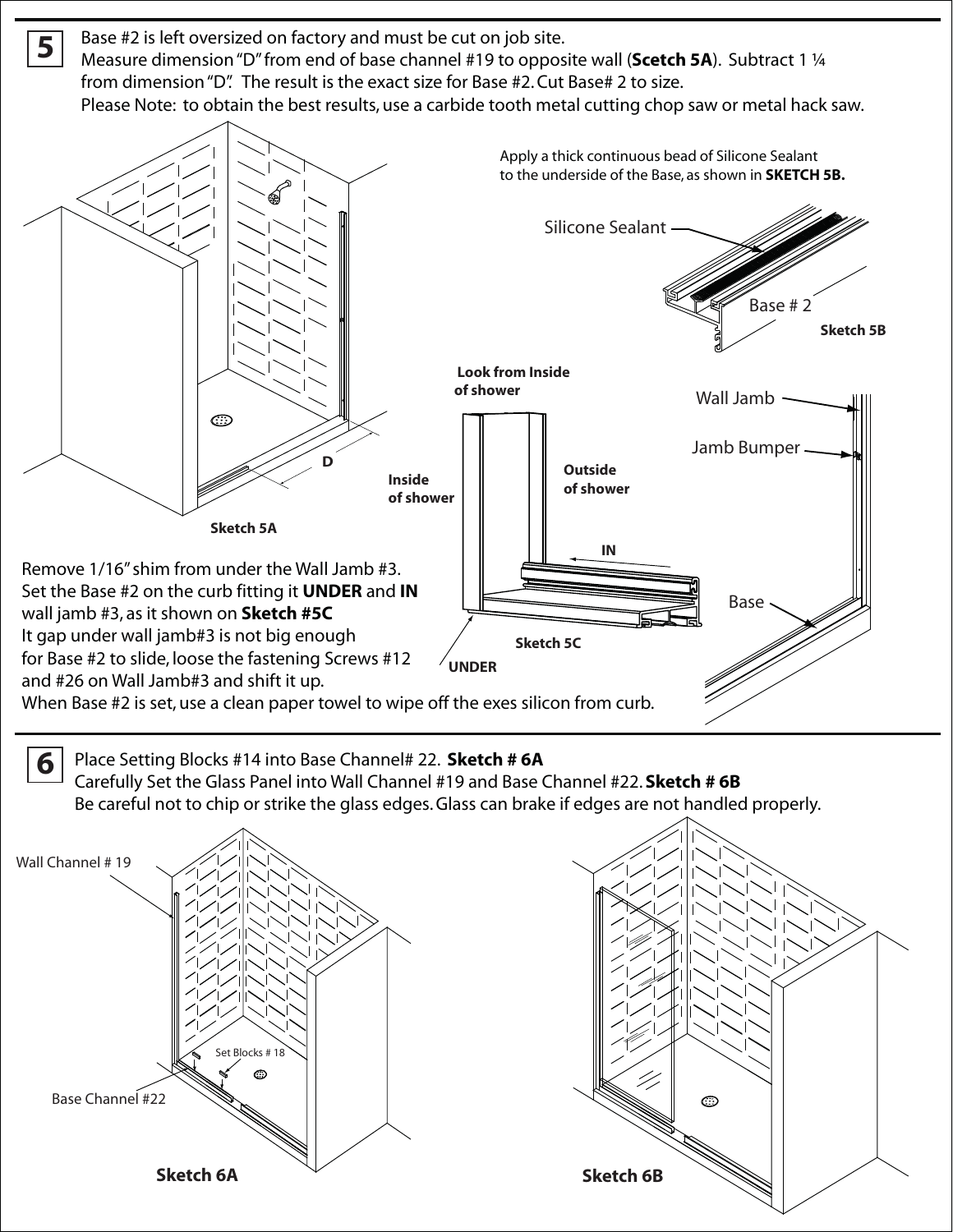Base #2 is left oversized on factory and must be cut on job site. Measure dimension "D" from end of base channel #19 to opposite wall (**Scetch 5A**). Subtract 1 ¼ from dimension "D". The result is the exact size for Base #2. Cut Base# 2 to size. Please Note: to obtain the best results, use a carbide tooth metal cutting chop saw or metal hack saw.



**6** Place Setting Blocks #14 into Base Channel# 22. **Sketch # 6A** Carefully Set the Glass Panel into Wall Channel #19 and Base Channel #22. **Sketch # 6B** Be careful not to chip or strike the glass edges. Glass can brake if edges are not handled properly.



**5**

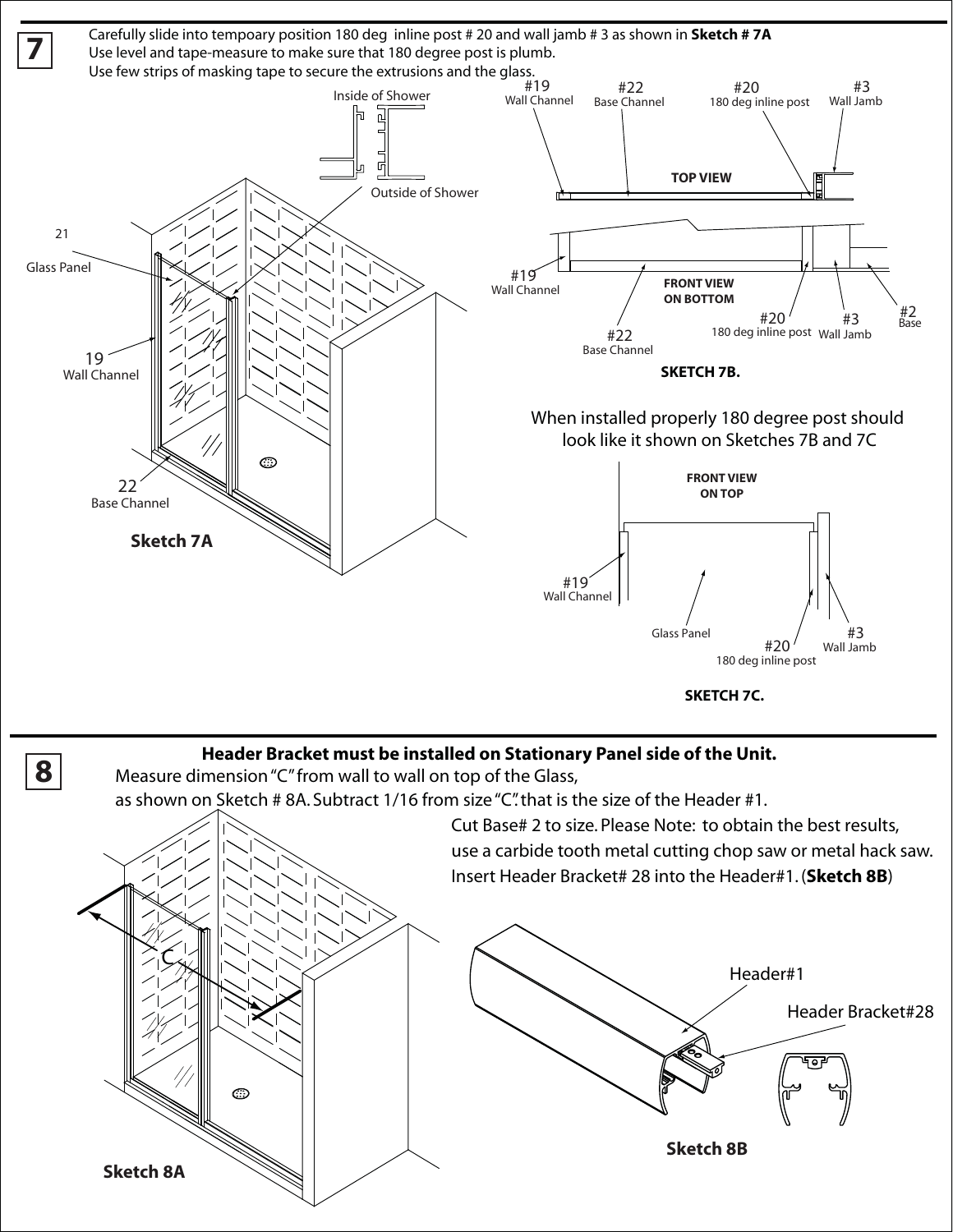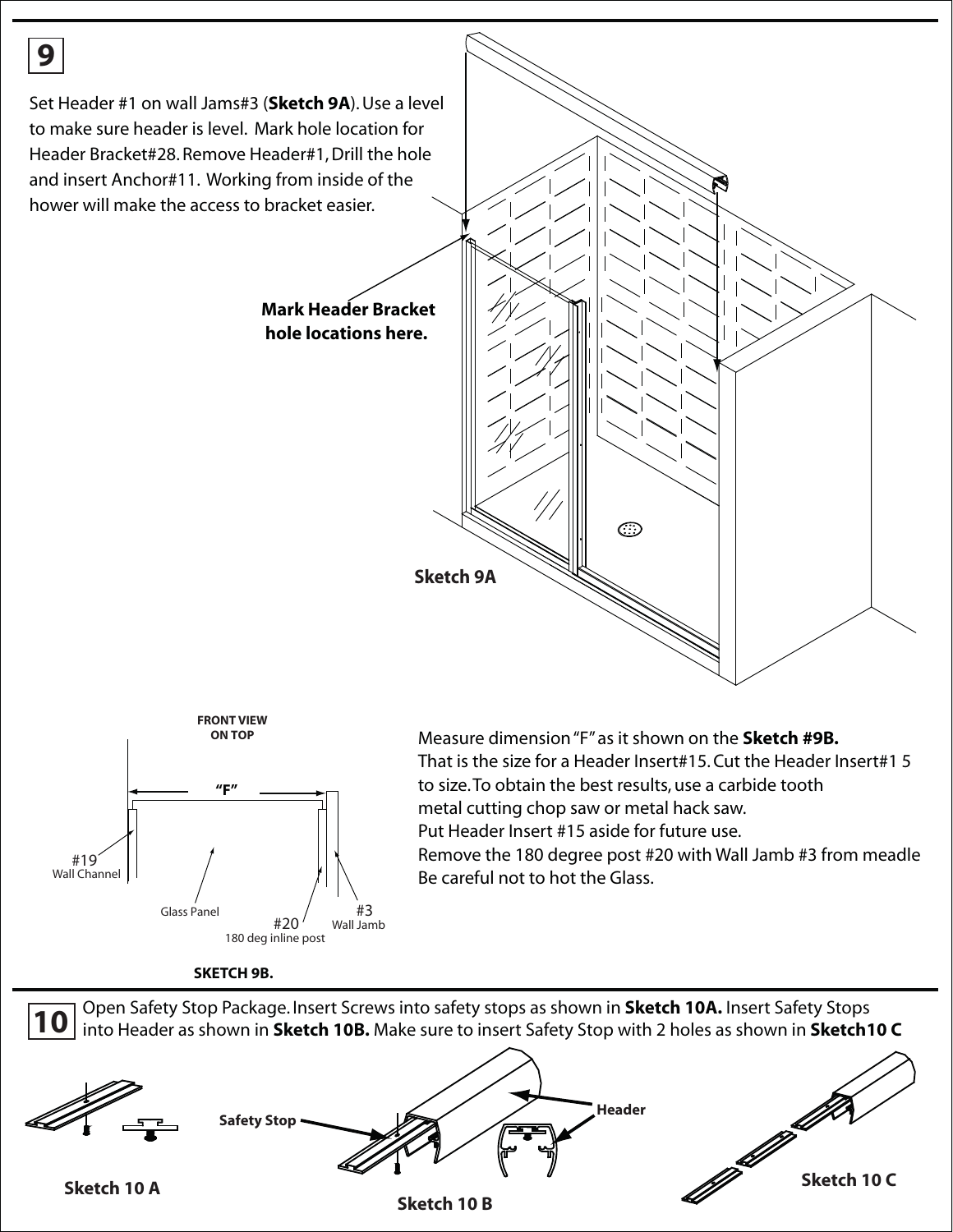



That is the size for a Header Insert#15. Cut the Header Insert#1 5 to size. To obtain the best results, use a carbide tooth metal cutting chop saw or metal hack saw. Put Header Insert #15 aside for future use.

Remove the 180 degree post #20 with Wall Jamb #3 from meadle Be careful not to hot the Glass.





**Sketch 10 A**

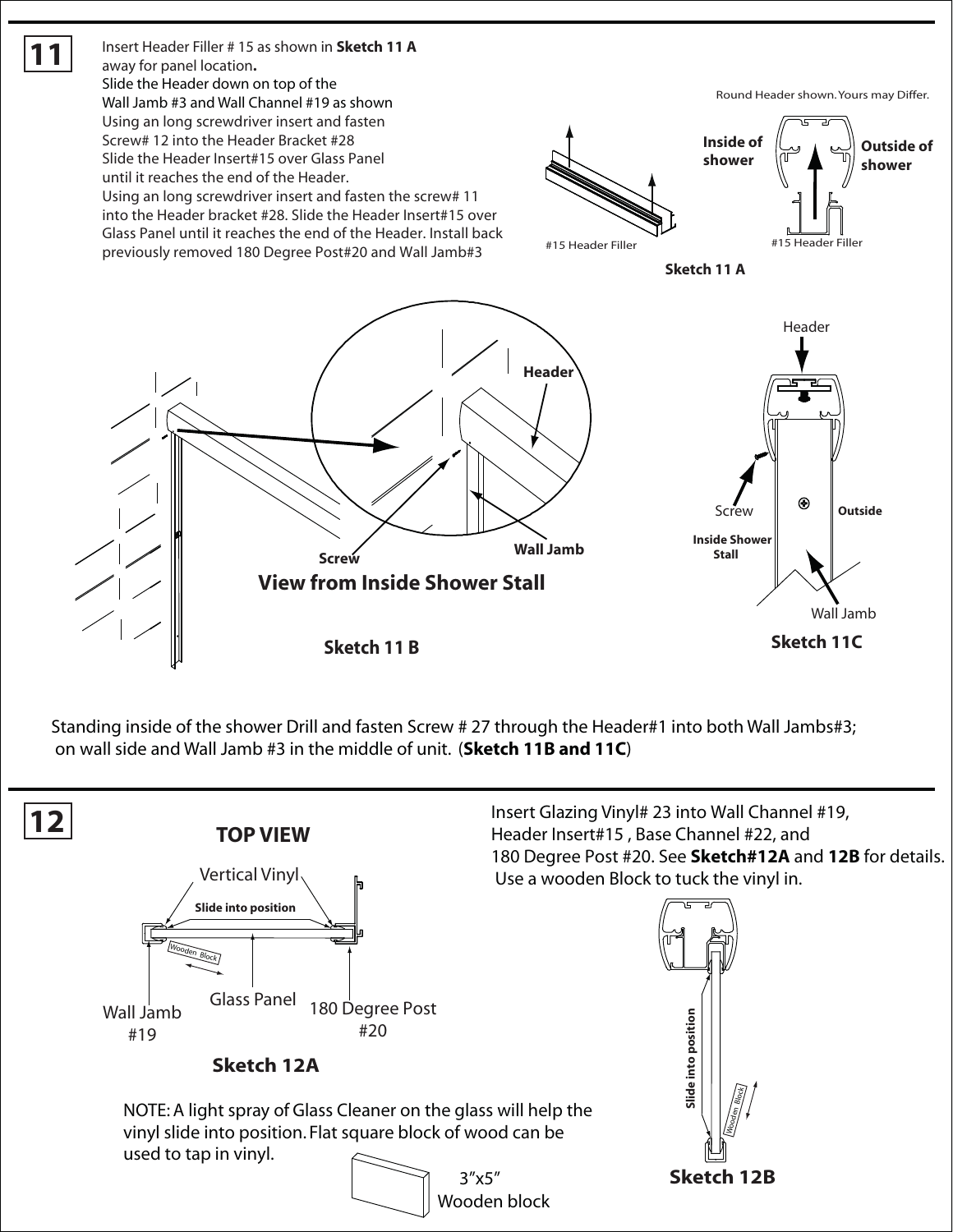

Standing inside of the shower Drill and fasten Screw # 27 through the Header#1 into both Wall Jambs#3; on wall side and Wall Jamb #3 in the middle of unit. (**Sketch 11B and 11C**)

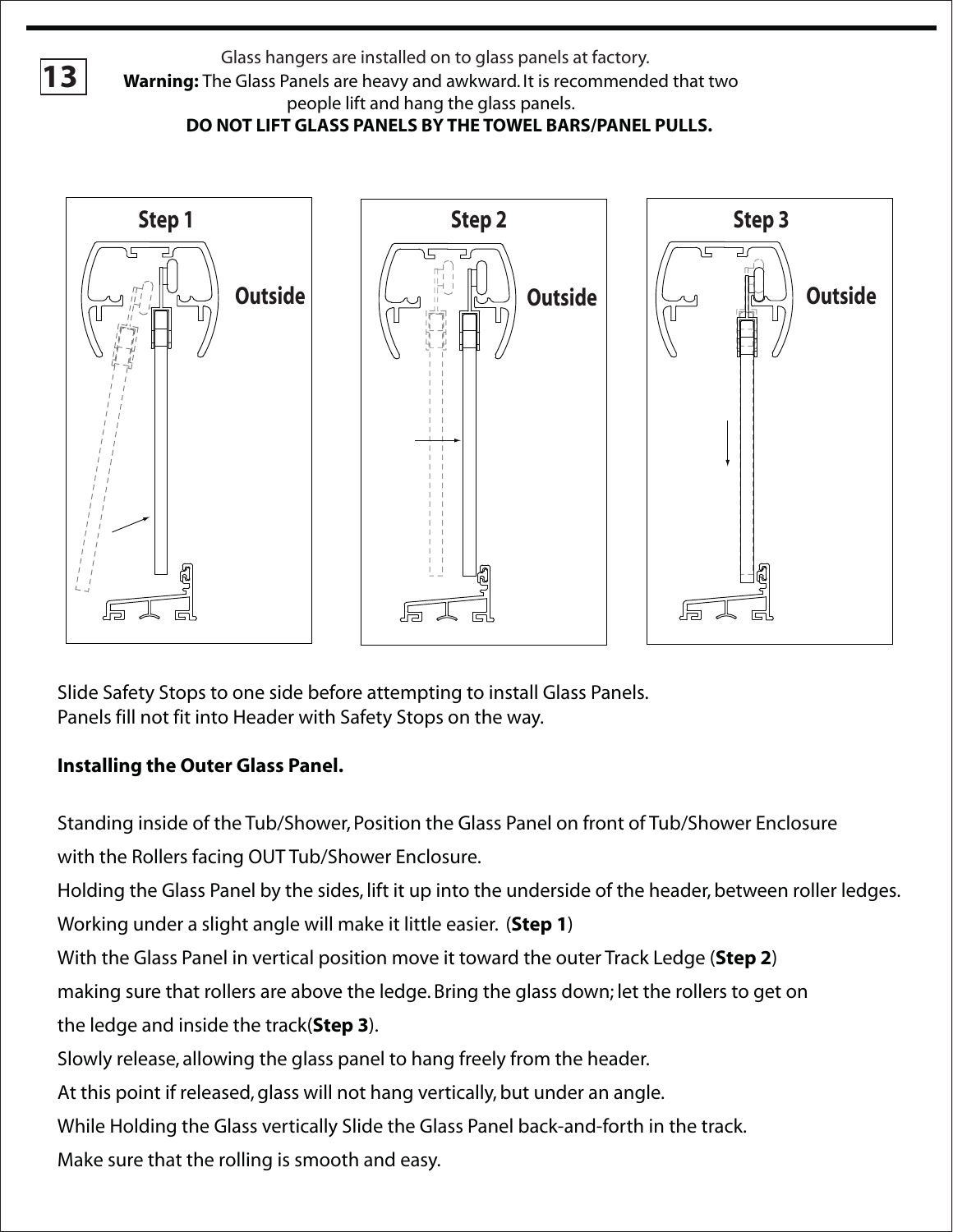Glass hangers are installed on to glass panels at factory.<br>**13** Warning: The Glass Panels are heavy and awkward. It is recommended that two people lift and hang the glass panels. **DO NOT LIFT GLASS PANELS BY THE TOWEL BARS/PANEL PULLS.**



Slide Safety Stops to one side before attempting to install Glass Panels. Panels fill not fit into Header with Safety Stops on the way.

### **Installing the Outer Glass Panel.**

Standing inside of the Tub/Shower, Position the Glass Panel on front of Tub/Shower Enclosure with the Rollers facing OUT Tub/Shower Enclosure.

Holding the Glass Panel by the sides, lift it up into the underside of the header, between roller ledges.

Working under a slight angle will make it little easier. (**Step 1**)

With the Glass Panel in vertical position move it toward the outer Track Ledge (**Step 2**)

making sure that rollers are above the ledge. Bring the glass down; let the rollers to get on

the ledge and inside the track(**Step 3**).

Slowly release, allowing the glass panel to hang freely from the header.

At this point if released, glass will not hang vertically, but under an angle.

While Holding the Glass vertically Slide the Glass Panel back-and-forth in the track.

Make sure that the rolling is smooth and easy.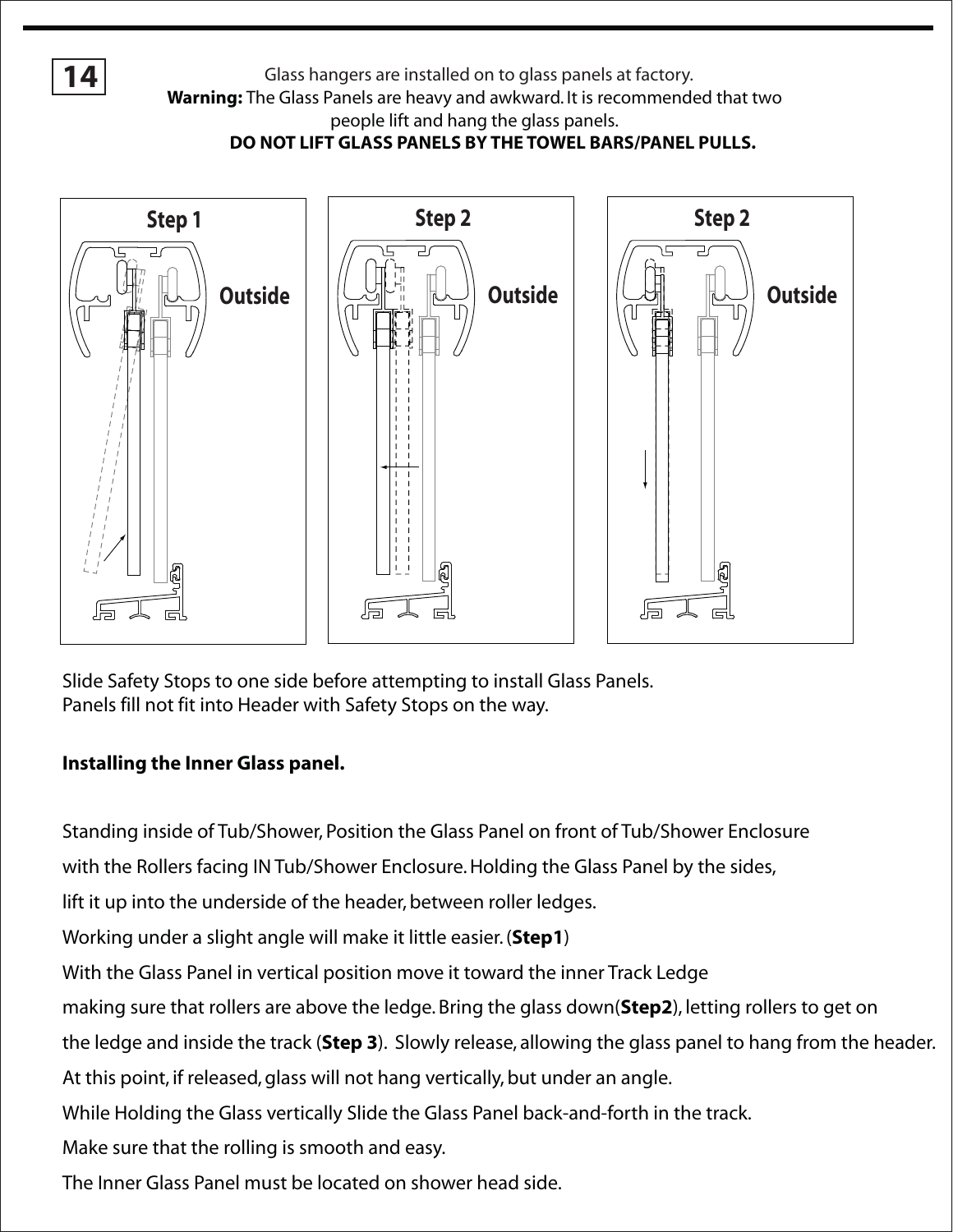**14**

Glass hangers are installed on to glass panels at factory.

**Warning:** The Glass Panels are heavy and awkward. It is recommended that two

people lift and hang the glass panels.

**DO NOT LIFT GLASS PANELS BY THE TOWEL BARS/PANEL PULLS.**



Slide Safety Stops to one side before attempting to install Glass Panels. Panels fill not fit into Header with Safety Stops on the way.

#### **Installing the Inner Glass panel.**

Standing inside of Tub/Shower, Position the Glass Panel on front of Tub/Shower Enclosure

with the Rollers facing IN Tub/Shower Enclosure. Holding the Glass Panel by the sides,

lift it up into the underside of the header, between roller ledges.

Working under a slight angle will make it little easier. (**Step1**)

With the Glass Panel in vertical position move it toward the inner Track Ledge

making sure that rollers are above the ledge. Bring the glass down(**Step2**), letting rollers to get on

the ledge and inside the track (**Step 3**). Slowly release, allowing the glass panel to hang from the header.

At this point, if released, glass will not hang vertically, but under an angle.

While Holding the Glass vertically Slide the Glass Panel back-and-forth in the track.

Make sure that the rolling is smooth and easy.

The Inner Glass Panel must be located on shower head side.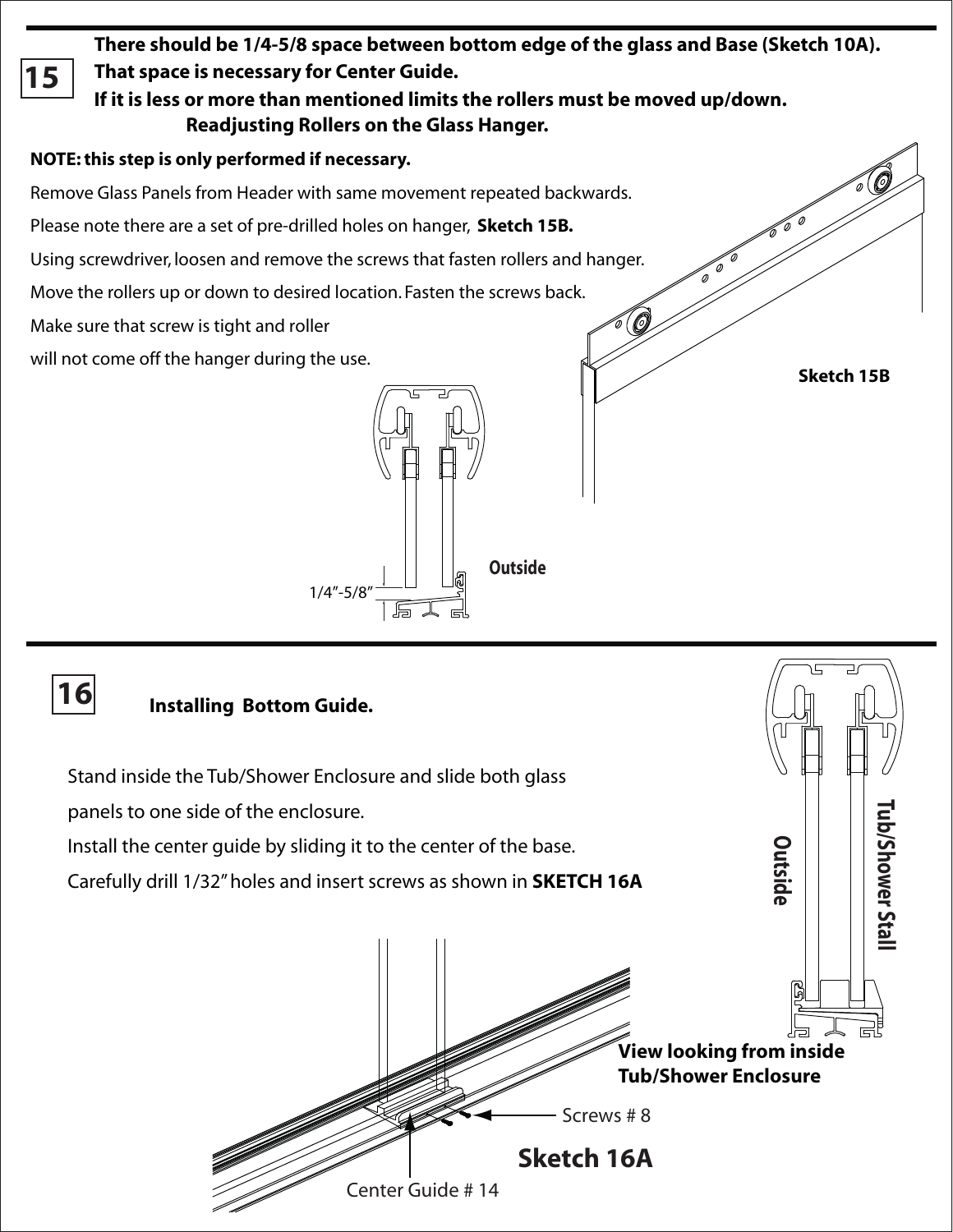**There should be 1/4-5/8 space between bottom edge of the glass and Base (Sketch 10A). That space is necessary for Center Guide. 15 If it is less or more than mentioned limits the rollers must be moved up/down. Readjusting Rollers on the Glass Hanger. NOTE: this step is only performed if necessary.**  Remove Glass Panels from Header with same movement repeated backwards. Please note there are a set of pre-drilled holes on hanger, **Sketch 15B.** Using screwdriver, loosen and remove the screws that fasten rollers and hanger. Move the rollers up or down to desired location. Fasten the screws back. 0

Make sure that screw is tight and roller

will not come off the hanger during the use.<br>**Sketch 15B** 



# **16**

# **Installing Bottom Guide.**

**Outside e**r Stall **w o h S/ b u T Sketch 16A View looking from inside Tub/Shower Enclosure** Center Guide # 14 Screws # 8 Stand inside the Tub/Shower Enclosure and slide both glass panels to one side of the enclosure. Install the center guide by sliding it to the center of the base. Carefully drill 1/32" holes and insert screws as shown in **SKETCH 16A**